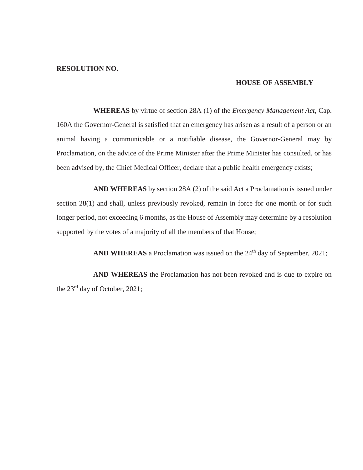## **RESOLUTION NO.**

## **HOUSE OF ASSEMBLY**

**WHEREAS** by virtue of section 28A (1) of the *Emergency Management Act,* Cap. 160A the Governor-General is satisfied that an emergency has arisen as a result of a person or an animal having a communicable or a notifiable disease, the Governor-General may by Proclamation, on the advice of the Prime Minister after the Prime Minister has consulted, or has been advised by, the Chief Medical Officer, declare that a public health emergency exists;

**AND WHEREAS** by section 28A (2) of the said Act a Proclamation is issued under section 28(1) and shall, unless previously revoked, remain in force for one month or for such longer period, not exceeding 6 months, as the House of Assembly may determine by a resolution supported by the votes of a majority of all the members of that House;

AND WHEREAS a Proclamation was issued on the 24<sup>th</sup> day of September, 2021;

**AND WHEREAS** the Proclamation has not been revoked and is due to expire on the 23rd day of October, 2021;